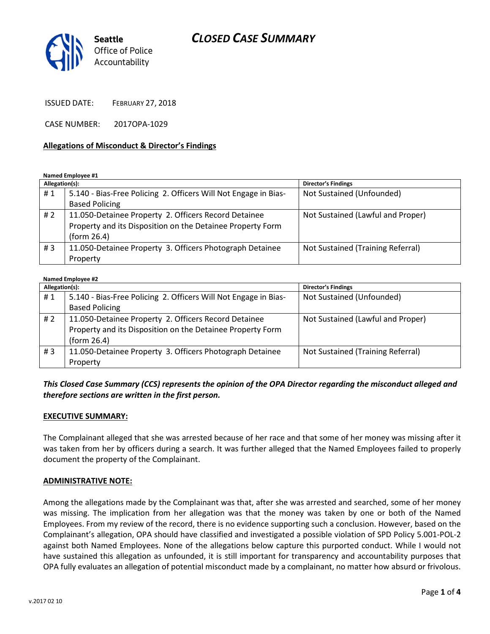# CLOSED CASE SUMMARY



ISSUED DATE: FEBRUARY 27, 2018

CASE NUMBER: 2017OPA-1029

#### Allegations of Misconduct & Director's Findings

Named Employee #1

| Allegation(s): |                                                                 | <b>Director's Findings</b>        |
|----------------|-----------------------------------------------------------------|-----------------------------------|
| #1             | 5.140 - Bias-Free Policing 2. Officers Will Not Engage in Bias- | Not Sustained (Unfounded)         |
|                | <b>Based Policing</b>                                           |                                   |
| #2             | 11.050-Detainee Property 2. Officers Record Detainee            | Not Sustained (Lawful and Proper) |
|                | Property and its Disposition on the Detainee Property Form      |                                   |
|                | (form 26.4)                                                     |                                   |
| # $3$          | 11.050-Detainee Property 3. Officers Photograph Detainee        | Not Sustained (Training Referral) |
|                | Property                                                        |                                   |

| <b>Named Employee #2</b> |                                                                 |                                   |  |
|--------------------------|-----------------------------------------------------------------|-----------------------------------|--|
| Allegation(s):           |                                                                 | <b>Director's Findings</b>        |  |
| #1                       | 5.140 - Bias-Free Policing 2. Officers Will Not Engage in Bias- | Not Sustained (Unfounded)         |  |
|                          | <b>Based Policing</b>                                           |                                   |  |
| # $2$                    | 11.050-Detainee Property 2. Officers Record Detainee            | Not Sustained (Lawful and Proper) |  |
|                          | Property and its Disposition on the Detainee Property Form      |                                   |  |
|                          | (form 26.4)                                                     |                                   |  |
| #3                       | 11.050-Detainee Property 3. Officers Photograph Detainee        | Not Sustained (Training Referral) |  |
|                          | Property                                                        |                                   |  |

# This Closed Case Summary (CCS) represents the opinion of the OPA Director regarding the misconduct alleged and therefore sections are written in the first person.

#### EXECUTIVE SUMMARY:

The Complainant alleged that she was arrested because of her race and that some of her money was missing after it was taken from her by officers during a search. It was further alleged that the Named Employees failed to properly document the property of the Complainant.

#### ADMINISTRATIVE NOTE:

Among the allegations made by the Complainant was that, after she was arrested and searched, some of her money was missing. The implication from her allegation was that the money was taken by one or both of the Named Employees. From my review of the record, there is no evidence supporting such a conclusion. However, based on the Complainant's allegation, OPA should have classified and investigated a possible violation of SPD Policy 5.001-POL-2 against both Named Employees. None of the allegations below capture this purported conduct. While I would not have sustained this allegation as unfounded, it is still important for transparency and accountability purposes that OPA fully evaluates an allegation of potential misconduct made by a complainant, no matter how absurd or frivolous.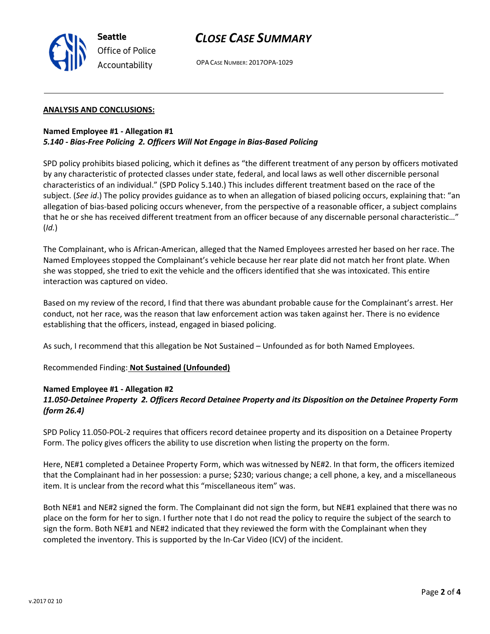

# CLOSE CASE SUMMARY

OPA CASE NUMBER: 2017OPA-1029

### ANALYSIS AND CONCLUSIONS:

# Named Employee #1 - Allegation #1 5.140 - Bias-Free Policing 2. Officers Will Not Engage in Bias-Based Policing

SPD policy prohibits biased policing, which it defines as "the different treatment of any person by officers motivated by any characteristic of protected classes under state, federal, and local laws as well other discernible personal characteristics of an individual." (SPD Policy 5.140.) This includes different treatment based on the race of the subject. (See id.) The policy provides guidance as to when an allegation of biased policing occurs, explaining that: "an allegation of bias-based policing occurs whenever, from the perspective of a reasonable officer, a subject complains that he or she has received different treatment from an officer because of any discernable personal characteristic…"  $(Id.)$ 

The Complainant, who is African-American, alleged that the Named Employees arrested her based on her race. The Named Employees stopped the Complainant's vehicle because her rear plate did not match her front plate. When she was stopped, she tried to exit the vehicle and the officers identified that she was intoxicated. This entire interaction was captured on video.

Based on my review of the record, I find that there was abundant probable cause for the Complainant's arrest. Her conduct, not her race, was the reason that law enforcement action was taken against her. There is no evidence establishing that the officers, instead, engaged in biased policing.

As such, I recommend that this allegation be Not Sustained – Unfounded as for both Named Employees.

Recommended Finding: Not Sustained (Unfounded)

### Named Employee #1 - Allegation #2

# 11.050-Detainee Property 2. Officers Record Detainee Property and its Disposition on the Detainee Property Form (form 26.4)

SPD Policy 11.050-POL-2 requires that officers record detainee property and its disposition on a Detainee Property Form. The policy gives officers the ability to use discretion when listing the property on the form.

Here, NE#1 completed a Detainee Property Form, which was witnessed by NE#2. In that form, the officers itemized that the Complainant had in her possession: a purse; \$230; various change; a cell phone, a key, and a miscellaneous item. It is unclear from the record what this "miscellaneous item" was.

Both NE#1 and NE#2 signed the form. The Complainant did not sign the form, but NE#1 explained that there was no place on the form for her to sign. I further note that I do not read the policy to require the subject of the search to sign the form. Both NE#1 and NE#2 indicated that they reviewed the form with the Complainant when they completed the inventory. This is supported by the In-Car Video (ICV) of the incident.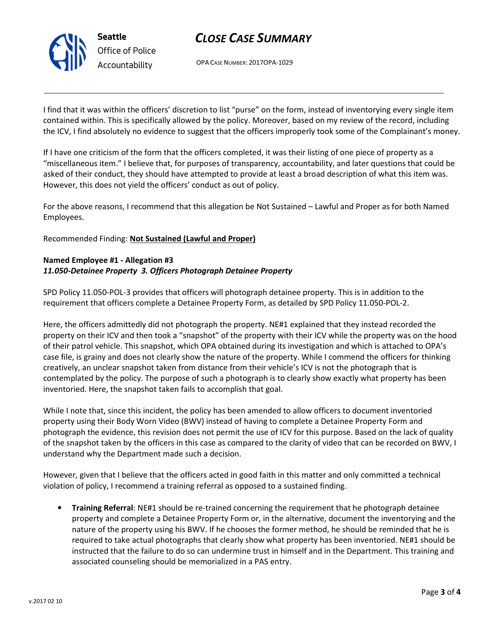

# CLOSE CASE SUMMARY

OPA CASE NUMBER: 2017OPA-1029

I find that it was within the officers' discretion to list "purse" on the form, instead of inventorying every single item contained within. This is specifically allowed by the policy. Moreover, based on my review of the record, including the ICV, I find absolutely no evidence to suggest that the officers improperly took some of the Complainant's money.

If I have one criticism of the form that the officers completed, it was their listing of one piece of property as a "miscellaneous item." I believe that, for purposes of transparency, accountability, and later questions that could be asked of their conduct, they should have attempted to provide at least a broad description of what this item was. However, this does not yield the officers' conduct as out of policy.

For the above reasons, I recommend that this allegation be Not Sustained – Lawful and Proper as for both Named Employees.

Recommended Finding: Not Sustained (Lawful and Proper)

# Named Employee #1 - Allegation #3 11.050-Detainee Property 3. Officers Photograph Detainee Property

SPD Policy 11.050-POL-3 provides that officers will photograph detainee property. This is in addition to the requirement that officers complete a Detainee Property Form, as detailed by SPD Policy 11.050-POL-2.

Here, the officers admittedly did not photograph the property. NE#1 explained that they instead recorded the property on their ICV and then took a "snapshot" of the property with their ICV while the property was on the hood of their patrol vehicle. This snapshot, which OPA obtained during its investigation and which is attached to OPA's case file, is grainy and does not clearly show the nature of the property. While I commend the officers for thinking creatively, an unclear snapshot taken from distance from their vehicle's ICV is not the photograph that is contemplated by the policy. The purpose of such a photograph is to clearly show exactly what property has been inventoried. Here, the snapshot taken fails to accomplish that goal.

While I note that, since this incident, the policy has been amended to allow officers to document inventoried property using their Body Worn Video (BWV) instead of having to complete a Detainee Property Form and photograph the evidence, this revision does not permit the use of ICV for this purpose. Based on the lack of quality of the snapshot taken by the officers in this case as compared to the clarity of video that can be recorded on BWV, I understand why the Department made such a decision.

However, given that I believe that the officers acted in good faith in this matter and only committed a technical violation of policy, I recommend a training referral as opposed to a sustained finding.

• Training Referral: NE#1 should be re-trained concerning the requirement that he photograph detainee property and complete a Detainee Property Form or, in the alternative, document the inventorying and the nature of the property using his BWV. If he chooses the former method, he should be reminded that he is required to take actual photographs that clearly show what property has been inventoried. NE#1 should be instructed that the failure to do so can undermine trust in himself and in the Department. This training and associated counseling should be memorialized in a PAS entry.